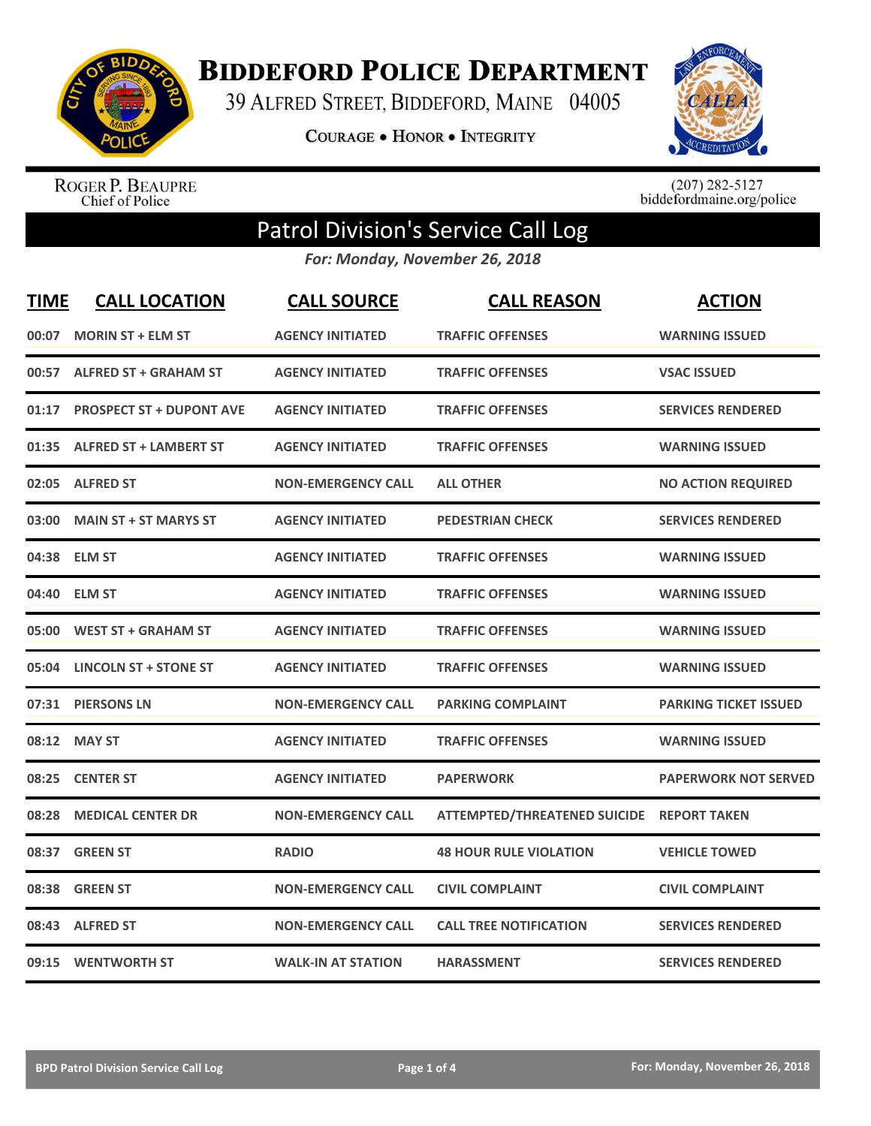

**BIDDEFORD POLICE DEPARTMENT** 

39 ALFRED STREET, BIDDEFORD, MAINE 04005

**COURAGE . HONOR . INTEGRITY** 



ROGER P. BEAUPRE<br>Chief of Police

 $(207)$  282-5127<br>biddefordmaine.org/police

## Patrol Division's Service Call Log

*For: Monday, November 26, 2018*

| <b>TIME</b> | <b>CALL LOCATION</b>           | <b>CALL SOURCE</b>        | <b>CALL REASON</b>                        | <b>ACTION</b>                |
|-------------|--------------------------------|---------------------------|-------------------------------------------|------------------------------|
| 00:07       | <b>MORIN ST + ELM ST</b>       | <b>AGENCY INITIATED</b>   | <b>TRAFFIC OFFENSES</b>                   | <b>WARNING ISSUED</b>        |
|             | 00:57 ALFRED ST + GRAHAM ST    | <b>AGENCY INITIATED</b>   | <b>TRAFFIC OFFENSES</b>                   | <b>VSAC ISSUED</b>           |
|             | 01:17 PROSPECT ST + DUPONT AVE | <b>AGENCY INITIATED</b>   | <b>TRAFFIC OFFENSES</b>                   | <b>SERVICES RENDERED</b>     |
|             | 01:35 ALFRED ST + LAMBERT ST   | <b>AGENCY INITIATED</b>   | <b>TRAFFIC OFFENSES</b>                   | <b>WARNING ISSUED</b>        |
|             | 02:05 ALFRED ST                | <b>NON-EMERGENCY CALL</b> | <b>ALL OTHER</b>                          | <b>NO ACTION REQUIRED</b>    |
| 03:00       | <b>MAIN ST + ST MARYS ST</b>   | <b>AGENCY INITIATED</b>   | <b>PEDESTRIAN CHECK</b>                   | <b>SERVICES RENDERED</b>     |
|             | 04:38 ELM ST                   | <b>AGENCY INITIATED</b>   | <b>TRAFFIC OFFENSES</b>                   | <b>WARNING ISSUED</b>        |
|             | 04:40 ELM ST                   | <b>AGENCY INITIATED</b>   | <b>TRAFFIC OFFENSES</b>                   | <b>WARNING ISSUED</b>        |
|             | 05:00 WEST ST + GRAHAM ST      | <b>AGENCY INITIATED</b>   | <b>TRAFFIC OFFENSES</b>                   | <b>WARNING ISSUED</b>        |
|             | 05:04 LINCOLN ST + STONE ST    | <b>AGENCY INITIATED</b>   | <b>TRAFFIC OFFENSES</b>                   | <b>WARNING ISSUED</b>        |
|             | 07:31 PIERSONS LN              | <b>NON-EMERGENCY CALL</b> | <b>PARKING COMPLAINT</b>                  | <b>PARKING TICKET ISSUED</b> |
|             | 08:12 MAY ST                   | <b>AGENCY INITIATED</b>   | <b>TRAFFIC OFFENSES</b>                   | <b>WARNING ISSUED</b>        |
|             | 08:25 CENTER ST                | <b>AGENCY INITIATED</b>   | <b>PAPERWORK</b>                          | <b>PAPERWORK NOT SERVED</b>  |
| 08:28       | <b>MEDICAL CENTER DR</b>       | <b>NON-EMERGENCY CALL</b> | ATTEMPTED/THREATENED SUICIDE REPORT TAKEN |                              |
|             | 08:37 GREEN ST                 | <b>RADIO</b>              | <b>48 HOUR RULE VIOLATION</b>             | <b>VEHICLE TOWED</b>         |
| 08:38       | <b>GREEN ST</b>                | <b>NON-EMERGENCY CALL</b> | <b>CIVIL COMPLAINT</b>                    | <b>CIVIL COMPLAINT</b>       |
|             | 08:43 ALFRED ST                | <b>NON-EMERGENCY CALL</b> | <b>CALL TREE NOTIFICATION</b>             | <b>SERVICES RENDERED</b>     |
|             | 09:15 WENTWORTH ST             | <b>WALK-IN AT STATION</b> | <b>HARASSMENT</b>                         | <b>SERVICES RENDERED</b>     |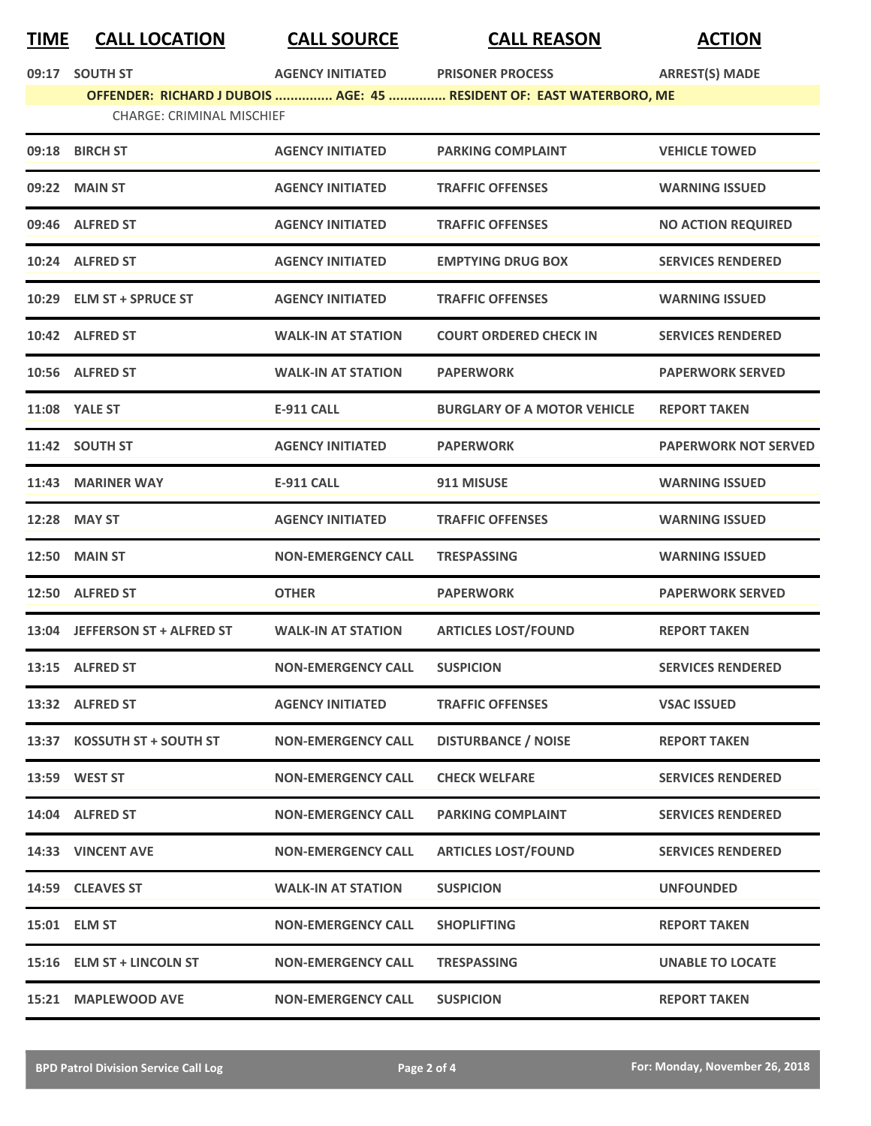## **TIME CALL LOCATION CALL SOURCE CALL REASON ACTION**

|       | 09:17 SOUTH ST                   | <b>AGENCY INITIATED</b>   | <b>PRISONER PROCESS</b>                                              | <b>ARREST(S) MADE</b>       |
|-------|----------------------------------|---------------------------|----------------------------------------------------------------------|-----------------------------|
|       |                                  |                           | OFFENDER: RICHARD J DUBOIS  AGE: 45  RESIDENT OF: EAST WATERBORO, ME |                             |
|       | <b>CHARGE: CRIMINAL MISCHIEF</b> |                           |                                                                      |                             |
|       | 09:18 BIRCH ST                   | <b>AGENCY INITIATED</b>   | <b>PARKING COMPLAINT</b>                                             | <b>VEHICLE TOWED</b>        |
|       | 09:22 MAIN ST                    | <b>AGENCY INITIATED</b>   | <b>TRAFFIC OFFENSES</b>                                              | <b>WARNING ISSUED</b>       |
|       | 09:46 ALFRED ST                  | <b>AGENCY INITIATED</b>   | <b>TRAFFIC OFFENSES</b>                                              | <b>NO ACTION REQUIRED</b>   |
|       | 10:24 ALFRED ST                  | <b>AGENCY INITIATED</b>   | <b>EMPTYING DRUG BOX</b>                                             | <b>SERVICES RENDERED</b>    |
|       | 10:29 ELM ST + SPRUCE ST         | <b>AGENCY INITIATED</b>   | <b>TRAFFIC OFFENSES</b>                                              | <b>WARNING ISSUED</b>       |
|       | 10:42 ALFRED ST                  | <b>WALK-IN AT STATION</b> | <b>COURT ORDERED CHECK IN</b>                                        | <b>SERVICES RENDERED</b>    |
|       | 10:56 ALFRED ST                  | <b>WALK-IN AT STATION</b> | <b>PAPERWORK</b>                                                     | <b>PAPERWORK SERVED</b>     |
|       | <b>11:08 YALE ST</b>             | <b>E-911 CALL</b>         | <b>BURGLARY OF A MOTOR VEHICLE</b>                                   | <b>REPORT TAKEN</b>         |
|       | 11:42 SOUTH ST                   | <b>AGENCY INITIATED</b>   | <b>PAPERWORK</b>                                                     | <b>PAPERWORK NOT SERVED</b> |
|       | 11:43 MARINER WAY                | <b>E-911 CALL</b>         | 911 MISUSE                                                           | <b>WARNING ISSUED</b>       |
| 12:28 | <b>MAY ST</b>                    | <b>AGENCY INITIATED</b>   | <b>TRAFFIC OFFENSES</b>                                              | <b>WARNING ISSUED</b>       |
|       | <b>12:50 MAIN ST</b>             | <b>NON-EMERGENCY CALL</b> | <b>TRESPASSING</b>                                                   | <b>WARNING ISSUED</b>       |
|       | 12:50 ALFRED ST                  | <b>OTHER</b>              | <b>PAPERWORK</b>                                                     | <b>PAPERWORK SERVED</b>     |
|       | 13:04 JEFFERSON ST + ALFRED ST   | <b>WALK-IN AT STATION</b> | <b>ARTICLES LOST/FOUND</b>                                           | <b>REPORT TAKEN</b>         |
|       | 13:15 ALFRED ST                  | <b>NON-EMERGENCY CALL</b> | <b>SUSPICION</b>                                                     | <b>SERVICES RENDERED</b>    |
|       | 13:32 ALFRED ST                  | <b>AGENCY INITIATED</b>   | <b>TRAFFIC OFFENSES</b>                                              | <b>VSAC ISSUED</b>          |
|       | 13:37 KOSSUTH ST + SOUTH ST      | <b>NON-EMERGENCY CALL</b> | <b>DISTURBANCE / NOISE</b>                                           | <b>REPORT TAKEN</b>         |
|       | 13:59 WEST ST                    | <b>NON-EMERGENCY CALL</b> | <b>CHECK WELFARE</b>                                                 | <b>SERVICES RENDERED</b>    |
|       | 14:04 ALFRED ST                  | <b>NON-EMERGENCY CALL</b> | <b>PARKING COMPLAINT</b>                                             | <b>SERVICES RENDERED</b>    |
|       | 14:33 VINCENT AVE                | <b>NON-EMERGENCY CALL</b> | <b>ARTICLES LOST/FOUND</b>                                           | <b>SERVICES RENDERED</b>    |
|       | 14:59 CLEAVES ST                 | <b>WALK-IN AT STATION</b> | <b>SUSPICION</b>                                                     | <b>UNFOUNDED</b>            |
|       | 15:01 ELM ST                     | <b>NON-EMERGENCY CALL</b> | <b>SHOPLIFTING</b>                                                   | <b>REPORT TAKEN</b>         |
|       | 15:16 ELM ST + LINCOLN ST        | <b>NON-EMERGENCY CALL</b> | <b>TRESPASSING</b>                                                   | <b>UNABLE TO LOCATE</b>     |
|       | 15:21 MAPLEWOOD AVE              | <b>NON-EMERGENCY CALL</b> | <b>SUSPICION</b>                                                     | <b>REPORT TAKEN</b>         |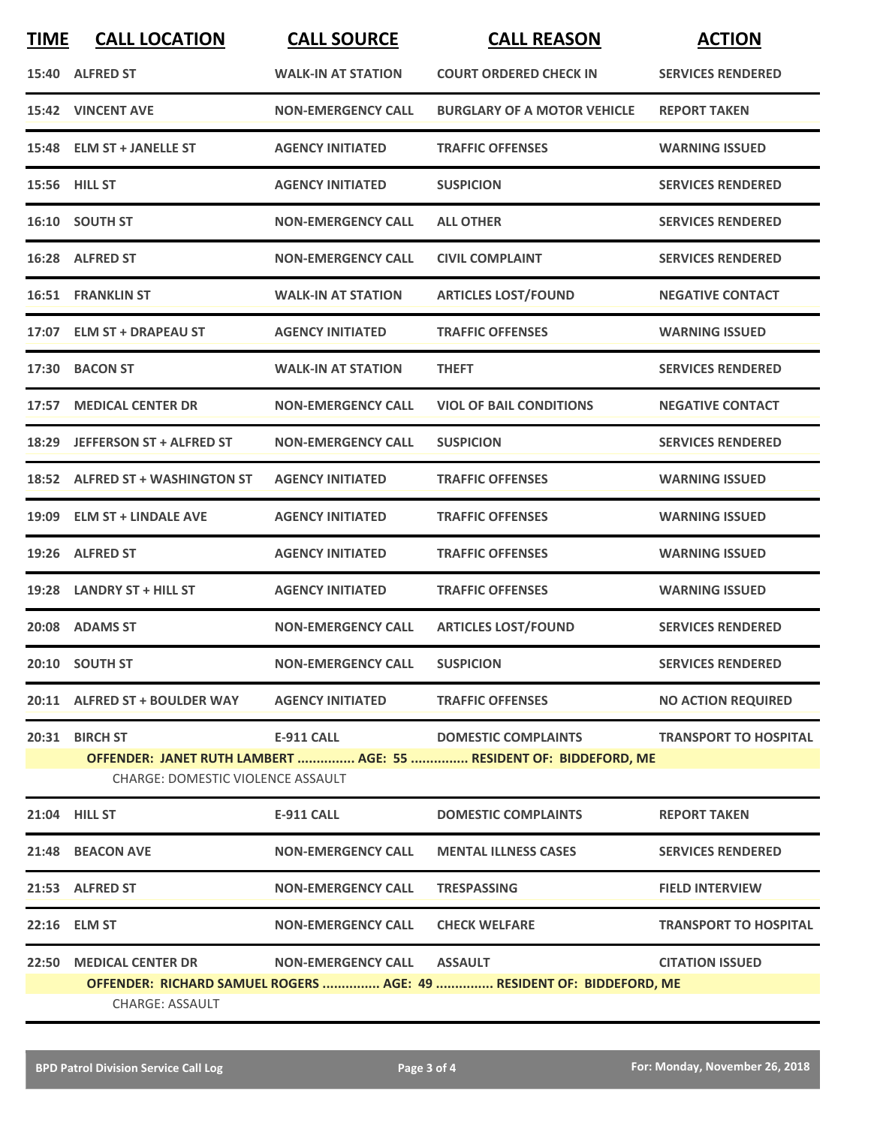| <b>TIME</b> | <b>CALL LOCATION</b>                                | <b>CALL SOURCE</b>         | <b>CALL REASON</b>                                                                              | <b>ACTION</b>                |
|-------------|-----------------------------------------------------|----------------------------|-------------------------------------------------------------------------------------------------|------------------------------|
|             | 15:40 ALFRED ST                                     | <b>WALK-IN AT STATION</b>  | <b>COURT ORDERED CHECK IN</b>                                                                   | <b>SERVICES RENDERED</b>     |
|             | 15:42 VINCENT AVE                                   | <b>NON-EMERGENCY CALL</b>  | <b>BURGLARY OF A MOTOR VEHICLE</b>                                                              | <b>REPORT TAKEN</b>          |
|             | 15:48 ELM ST + JANELLE ST                           | <b>AGENCY INITIATED</b>    | <b>TRAFFIC OFFENSES</b>                                                                         | <b>WARNING ISSUED</b>        |
|             | 15:56 HILL ST                                       | <b>AGENCY INITIATED</b>    | <b>SUSPICION</b>                                                                                | <b>SERVICES RENDERED</b>     |
|             | 16:10 SOUTH ST                                      | <b>NON-EMERGENCY CALL</b>  | <b>ALL OTHER</b>                                                                                | <b>SERVICES RENDERED</b>     |
|             | 16:28 ALFRED ST                                     | <b>NON-EMERGENCY CALL</b>  | <b>CIVIL COMPLAINT</b>                                                                          | <b>SERVICES RENDERED</b>     |
|             | <b>16:51 FRANKLIN ST</b>                            | <b>WALK-IN AT STATION</b>  | <b>ARTICLES LOST/FOUND</b>                                                                      | <b>NEGATIVE CONTACT</b>      |
|             | 17:07 ELM ST + DRAPEAU ST                           | <b>AGENCY INITIATED</b>    | <b>TRAFFIC OFFENSES</b>                                                                         | <b>WARNING ISSUED</b>        |
| 17:30       | <b>BACON ST</b>                                     | <b>WALK-IN AT STATION</b>  | <b>THEFT</b>                                                                                    | <b>SERVICES RENDERED</b>     |
| 17:57       | <b>MEDICAL CENTER DR</b>                            | <b>NON-EMERGENCY CALL</b>  | <b>VIOL OF BAIL CONDITIONS</b>                                                                  | <b>NEGATIVE CONTACT</b>      |
|             | 18:29 JEFFERSON ST + ALFRED ST                      | <b>NON-EMERGENCY CALL</b>  | <b>SUSPICION</b>                                                                                | <b>SERVICES RENDERED</b>     |
|             | 18:52 ALFRED ST + WASHINGTON ST                     | <b>AGENCY INITIATED</b>    | <b>TRAFFIC OFFENSES</b>                                                                         | <b>WARNING ISSUED</b>        |
| 19:09       | <b>ELM ST + LINDALE AVE</b>                         | <b>AGENCY INITIATED</b>    | <b>TRAFFIC OFFENSES</b>                                                                         | <b>WARNING ISSUED</b>        |
|             | 19:26 ALFRED ST                                     | <b>AGENCY INITIATED</b>    | <b>TRAFFIC OFFENSES</b>                                                                         | <b>WARNING ISSUED</b>        |
|             | 19:28 LANDRY ST + HILL ST                           | <b>AGENCY INITIATED</b>    | <b>TRAFFIC OFFENSES</b>                                                                         | <b>WARNING ISSUED</b>        |
|             | 20:08 ADAMS ST                                      | <b>NON-EMERGENCY CALL</b>  | <b>ARTICLES LOST/FOUND</b>                                                                      | <b>SERVICES RENDERED</b>     |
|             | 20:10 SOUTH ST                                      | <b>NON-EMERGENCY CALL</b>  | <b>SUSPICION</b>                                                                                | <b>SERVICES RENDERED</b>     |
|             | 20:11 ALFRED ST + BOULDER WAY                       | <b>AGENCY INITIATED</b>    | <b>TRAFFIC OFFENSES</b>                                                                         | <b>NO ACTION REQUIRED</b>    |
|             | 20:31 BIRCH ST<br>CHARGE: DOMESTIC VIOLENCE ASSAULT | E-911 CALL                 | <b>DOMESTIC COMPLAINTS</b><br>OFFENDER: JANET RUTH LAMBERT  AGE: 55  RESIDENT OF: BIDDEFORD, ME | <b>TRANSPORT TO HOSPITAL</b> |
|             | 21:04 HILL ST                                       | E-911 CALL                 | <b>DOMESTIC COMPLAINTS</b>                                                                      | <b>REPORT TAKEN</b>          |
|             | 21:48 BEACON AVE                                    | <b>NON-EMERGENCY CALL</b>  | <b>MENTAL ILLNESS CASES</b>                                                                     | <b>SERVICES RENDERED</b>     |
|             | 21:53 ALFRED ST                                     | <b>NON-EMERGENCY CALL</b>  | <b>TRESPASSING</b>                                                                              | <b>FIELD INTERVIEW</b>       |
|             | 22:16 ELM ST                                        | <b>NON-EMERGENCY CALL</b>  | <b>CHECK WELFARE</b>                                                                            | <b>TRANSPORT TO HOSPITAL</b> |
|             | 22:50 MEDICAL CENTER DR                             | NON-EMERGENCY CALL ASSAULT |                                                                                                 | <b>CITATION ISSUED</b>       |
|             | <b>CHARGE: ASSAULT</b>                              |                            | OFFENDER: RICHARD SAMUEL ROGERS  AGE: 49  RESIDENT OF: BIDDEFORD, ME                            |                              |